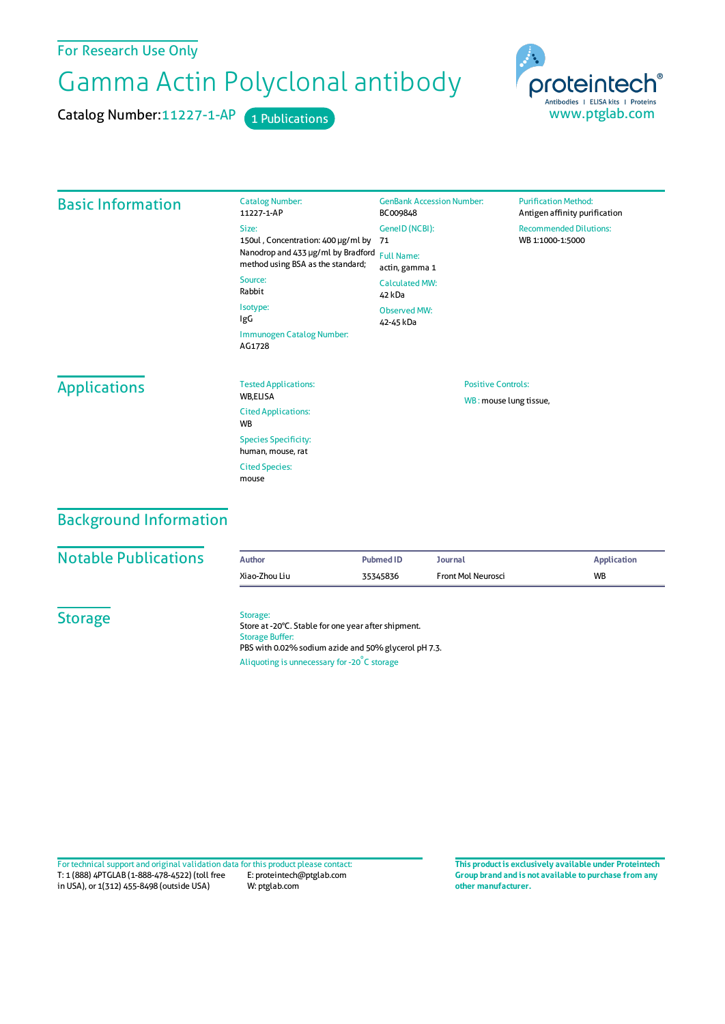#### For Research Use Only

# Gamma Actin Polyclonal antibody

Catalog Number: 11227-1-AP 1 Publications



| <b>Basic Information</b> | <b>Catalog Number:</b><br>11227-1-AP                                    | <b>GenBank Accession Number:</b><br>BC009848                           | <b>Purification Method:</b><br>Antigen affinity purification |  |
|--------------------------|-------------------------------------------------------------------------|------------------------------------------------------------------------|--------------------------------------------------------------|--|
|                          | Size:<br>150ul, Concentration: 400 µg/ml by                             | GeneID (NCBI):<br>71                                                   | <b>Recommended Dilutions:</b><br>WB 1:1000-1:5000            |  |
|                          | Nanodrop and 433 µg/ml by Bradford<br>method using BSA as the standard; | <b>Full Name:</b><br>actin, gamma 1<br><b>Calculated MW:</b><br>42 kDa |                                                              |  |
|                          | Source:<br>Rabbit                                                       |                                                                        |                                                              |  |
|                          | Isotype:<br>IgG<br>Immunogen Catalog Number:<br>AG1728                  | <b>Observed MW:</b><br>42-45 kDa                                       |                                                              |  |
| <b>Applications</b>      | <b>Tested Applications:</b><br>WB,ELISA                                 | <b>Positive Controls:</b><br>WB: mouse lung tissue,                    |                                                              |  |
|                          | <b>Cited Applications:</b><br><b>WB</b>                                 |                                                                        |                                                              |  |
|                          | <b>Species Specificity:</b><br>human, mouse, rat                        |                                                                        |                                                              |  |
|                          | <b>Cited Species:</b><br>mouse                                          |                                                                        |                                                              |  |

## Background Information

| <b>Notable Publications</b> |  |  |
|-----------------------------|--|--|
|                             |  |  |

| <b>Notable Publications</b> | Author        | <b>Pubmed ID</b> | Journal            | Application |
|-----------------------------|---------------|------------------|--------------------|-------------|
|                             | Xiao-Zhou Liu | 35345836         | Front Mol Neurosci | <b>WB</b>   |

**Storage** 

#### Storage:

Store at -20°C. Stable for one year after shipment. Storage Buffer: PBS with 0.02% sodium azide and 50% glycerol pH 7.3. Aliquoting is unnecessary for -20<sup>°</sup>C storage

T: 1 (888) 4PTGLAB (1-888-478-4522) (toll free in USA), or 1(312) 455-8498 (outside USA) E: proteintech@ptglab.com W: ptglab.com Fortechnical support and original validation data forthis product please contact: **This productis exclusively available under Proteintech**

**Group brand and is not available to purchase from any other manufacturer.**